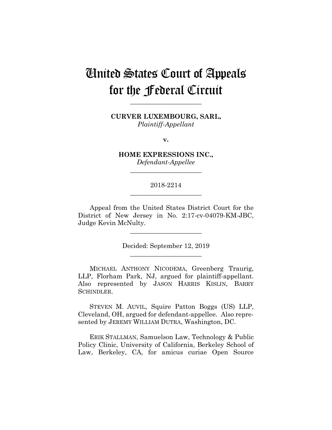# United States Court of Appeals for the Federal Circuit

**CURVER LUXEMBOURG, SARL,** *Plaintiff-Appellant*

**\_\_\_\_\_\_\_\_\_\_\_\_\_\_\_\_\_\_\_\_\_\_**

**v.**

**HOME EXPRESSIONS INC.,** *Defendant-Appellee*

**\_\_\_\_\_\_\_\_\_\_\_\_\_\_\_\_\_\_\_\_\_\_**

# 2018-2214 **\_\_\_\_\_\_\_\_\_\_\_\_\_\_\_\_\_\_\_\_\_\_**

Appeal from the United States District Court for the District of New Jersey in No. 2:17-cv-04079-KM-JBC, Judge Kevin McNulty.

**\_\_\_\_\_\_\_\_\_\_\_\_\_\_\_\_\_\_\_\_\_\_**

Decided: September 12, 2019 **\_\_\_\_\_\_\_\_\_\_\_\_\_\_\_\_\_\_\_\_\_\_**

MICHAEL ANTHONY NICODEMA, Greenberg Traurig, LLP, Florham Park, NJ, argued for plaintiff-appellant. Also represented by JASON HARRIS KISLIN, BARRY SCHINDLER.

 STEVEN M. AUVIL, Squire Patton Boggs (US) LLP, Cleveland, OH, argued for defendant-appellee. Also represented by JEREMY WILLIAM DUTRA, Washington, DC.

 ERIK STALLMAN, Samuelson Law, Technology & Public Policy Clinic, University of California, Berkeley School of Law, Berkeley, CA, for amicus curiae Open Source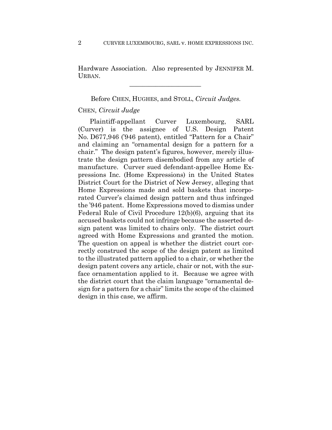Hardware Association. Also represented by JENNIFER M. URBAN.

 $\mathcal{L}_\text{max}$  and  $\mathcal{L}_\text{max}$  and  $\mathcal{L}_\text{max}$  and  $\mathcal{L}_\text{max}$ 

Before CHEN, HUGHES, and STOLL, *Circuit Judges.*

## CHEN, *Circuit Judge*

Plaintiff-appellant Curver Luxembourg, SARL (Curver) is the assignee of U.S. Design Patent No. D677,946 ('946 patent), entitled "Pattern for a Chair" and claiming an "ornamental design for a pattern for a chair." The design patent's figures, however, merely illustrate the design pattern disembodied from any article of manufacture. Curver sued defendant-appellee Home Expressions Inc. (Home Expressions) in the United States District Court for the District of New Jersey, alleging that Home Expressions made and sold baskets that incorporated Curver's claimed design pattern and thus infringed the '946 patent. Home Expressions moved to dismiss under Federal Rule of Civil Procedure 12(b)(6), arguing that its accused baskets could not infringe because the asserted design patent was limited to chairs only. The district court agreed with Home Expressions and granted the motion. The question on appeal is whether the district court correctly construed the scope of the design patent as limited to the illustrated pattern applied to a chair, or whether the design patent covers any article, chair or not, with the surface ornamentation applied to it. Because we agree with the district court that the claim language "ornamental design for a pattern for a chair" limits the scope of the claimed design in this case, we affirm.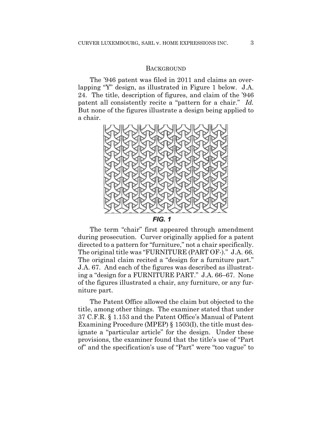## **BACKGROUND**

The '946 patent was filed in 2011 and claims an overlapping "Y" design, as illustrated in Figure 1 below. J.A. 24. The title, description of figures, and claim of the '946 patent all consistently recite a "pattern for a chair." *Id.*  But none of the figures illustrate a design being applied to a chair.



**FIG. 1** 

The term "chair" first appeared through amendment during prosecution. Curver originally applied for a patent directed to a pattern for "furniture," not a chair specifically. The original title was "FURNITURE (PART OF-)." J.A. 66. The original claim recited a "design for a furniture part." J.A. 67. And each of the figures was described as illustrating a "design for a FURNITURE PART." J.A. 66–67. None of the figures illustrated a chair, any furniture, or any furniture part.

The Patent Office allowed the claim but objected to the title, among other things. The examiner stated that under 37 C.F.R. § 1.153 and the Patent Office's Manual of Patent Examining Procedure (MPEP) § 1503(I), the title must designate a "particular article" for the design. Under these provisions, the examiner found that the title's use of "Part of" and the specification's use of "Part" were "too vague" to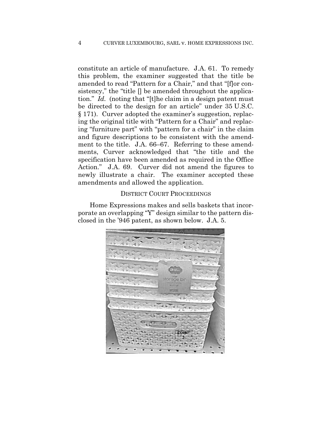constitute an article of manufacture. J.A. 61. To remedy this problem, the examiner suggested that the title be amended to read "Pattern for a Chair," and that "[f]or consistency," the "title [] be amended throughout the application." *Id.* (noting that "[t]he claim in a design patent must be directed to the design for an article" under 35 U.S.C. § 171). Curver adopted the examiner's suggestion, replacing the original title with "Pattern for a Chair" and replacing "furniture part" with "pattern for a chair" in the claim and figure descriptions to be consistent with the amendment to the title. J.A. 66–67. Referring to these amendments, Curver acknowledged that "the title and the specification have been amended as required in the Office Action." J.A. 69. Curver did not amend the figures to newly illustrate a chair. The examiner accepted these amendments and allowed the application.

### DISTRICT COURT PROCEEDINGS

Home Expressions makes and sells baskets that incorporate an overlapping "Y" design similar to the pattern disclosed in the '946 patent, as shown below. J.A. 5.

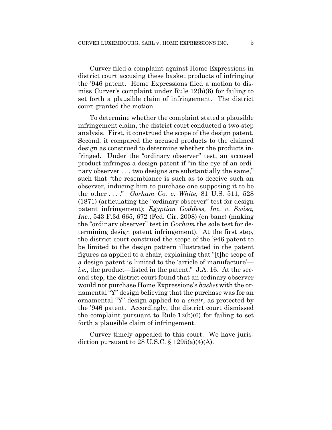Curver filed a complaint against Home Expressions in district court accusing these basket products of infringing the '946 patent. Home Expressions filed a motion to dismiss Curver's complaint under Rule 12(b)(6) for failing to set forth a plausible claim of infringement. The district court granted the motion.

To determine whether the complaint stated a plausible infringement claim, the district court conducted a two-step analysis. First, it construed the scope of the design patent. Second, it compared the accused products to the claimed design as construed to determine whether the products infringed. Under the "ordinary observer" test, an accused product infringes a design patent if "in the eye of an ordinary observer . . . two designs are substantially the same," such that "the resemblance is such as to deceive such an observer, inducing him to purchase one supposing it to be the other . . . ." *Gorham Co. v. White*, 81 U.S. 511, 528 (1871) (articulating the "ordinary observer" test for design patent infringement); *Egyptian Goddess, Inc. v. Swisa, Inc.*, 543 F.3d 665, 672 (Fed. Cir. 2008) (en banc) (making the "ordinary observer" test in *Gorham* the sole test for determining design patent infringement). At the first step, the district court construed the scope of the '946 patent to be limited to the design pattern illustrated in the patent figures as applied to a chair, explaining that "[t]he scope of a design patent is limited to the 'article of manufacture' *i.e.*, the product—listed in the patent." J.A. 16. At the second step, the district court found that an ordinary observer would not purchase Home Expressions's *basket* with the ornamental "Y" design believing that the purchase was for an ornamental "Y" design applied to a *chair*, as protected by the '946 patent. Accordingly, the district court dismissed the complaint pursuant to Rule 12(b)(6) for failing to set forth a plausible claim of infringement.

Curver timely appealed to this court. We have jurisdiction pursuant to 28 U.S.C.  $\S$  1295(a)(4)(A).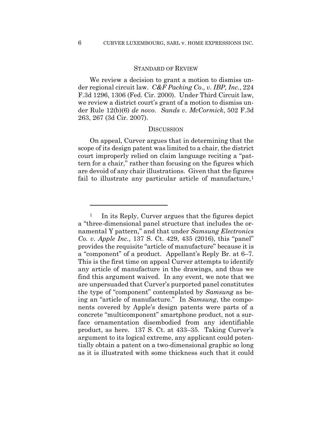#### STANDARD OF REVIEW

We review a decision to grant a motion to dismiss under regional circuit law. *C&F Packing Co., v. IBP, Inc.*, 224 F.3d 1296, 1306 (Fed. Cir. 2000). Under Third Circuit law, we review a district court's grant of a motion to dismiss under Rule 12(b)(6) *de novo*. *Sands v. McCormick*, 502 F.3d 263, 267 (3d Cir. 2007).

## **DISCUSSION**

On appeal, Curver argues that in determining that the scope of its design patent was limited to a chair, the district court improperly relied on claim language reciting a "pattern for a chair," rather than focusing on the figures which are devoid of any chair illustrations. Given that the figures fail to illustrate any particular article of manufacture,<sup>1</sup>

<u>.</u>

<sup>1</sup> In its Reply, Curver argues that the figures depict a "three-dimensional panel structure that includes the ornamental Y pattern," and that under *Samsung Electronics Co. v. Apple Inc.*, 137 S. Ct. 429, 435 (2016), this "panel" provides the requisite "article of manufacture" because it is a "component" of a product. Appellant's Reply Br. at 6–7. This is the first time on appeal Curver attempts to identify any article of manufacture in the drawings, and thus we find this argument waived. In any event, we note that we are unpersuaded that Curver's purported panel constitutes the type of "component" contemplated by *Samsung* as being an "article of manufacture." In *Samsung*, the components covered by Apple's design patents were parts of a concrete "multicomponent" smartphone product, not a surface ornamentation disembodied from any identifiable product, as here. 137 S. Ct. at 433–35. Taking Curver's argument to its logical extreme, any applicant could potentially obtain a patent on a two-dimensional graphic so long as it is illustrated with some thickness such that it could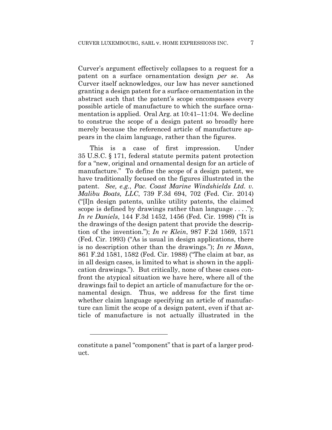Curver's argument effectively collapses to a request for a patent on a surface ornamentation design *per se*. As Curver itself acknowledges, our law has never sanctioned granting a design patent for a surface ornamentation in the abstract such that the patent's scope encompasses every possible article of manufacture to which the surface ornamentation is applied. Oral Arg. at 10:41–11:04. We decline to construe the scope of a design patent so broadly here merely because the referenced article of manufacture appears in the claim language, rather than the figures.

This is a case of first impression. Under 35 U.S.C. § 171, federal statute permits patent protection for a "new, original and ornamental design for an article of manufacture." To define the scope of a design patent, we have traditionally focused on the figures illustrated in the patent. *See, e.g.*, *Pac. Coast Marine Windshields Ltd. v. Malibu Boats, LLC*, 739 F.3d 694, 702 (Fed. Cir. 2014) ("[I]n design patents, unlike utility patents, the claimed scope is defined by drawings rather than language  $\dots$ ."); *In re Daniels*, 144 F.3d 1452, 1456 (Fed. Cir. 1998) ("It is the drawings of the design patent that provide the description of the invention."); *In re Klein*, 987 F.2d 1569, 1571 (Fed. Cir. 1993) ("As is usual in design applications, there is no description other than the drawings."); *In re Mann*, 861 F.2d 1581, 1582 (Fed. Cir. 1988) ("The claim at bar, as in all design cases, is limited to what is shown in the application drawings."). But critically, none of these cases confront the atypical situation we have here, where all of the drawings fail to depict an article of manufacture for the ornamental design. Thus, we address for the first time whether claim language specifying an article of manufacture can limit the scope of a design patent, even if that article of manufacture is not actually illustrated in the

constitute a panel "component" that is part of a larger product.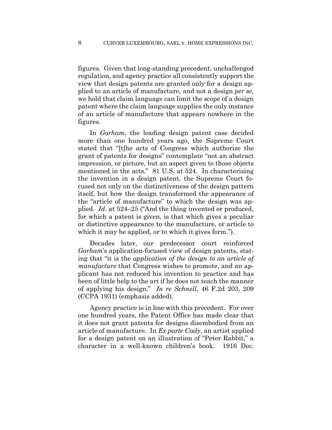figures. Given that long-standing precedent, unchallenged regulation, and agency practice all consistently support the view that design patents are granted only for a design applied to an article of manufacture, and not a design *per se*, we hold that claim language can limit the scope of a design patent where the claim language supplies the only instance of an article of manufacture that appears nowhere in the figures.

In *Gorham*, the leading design patent case decided more than one hundred years ago, the Supreme Court stated that "[t]he acts of Congress which authorize the grant of patents for designs" contemplate "not an abstract impression, or picture, but an aspect given to those objects mentioned in the acts." 81 U.S. at 524. In characterizing the invention in a design patent, the Supreme Court focused not only on the distinctiveness of the design pattern itself, but how the design transformed the appearance of the "article of manufacture" to which the design was applied. *Id.* at 524–25 ("And the thing invented or produced, for which a patent is given, is that which gives a peculiar or distinctive appearance to the manufacture, or article to which it may be applied, or to which it gives form.").

Decades later, our predecessor court reinforced *Gorham*'s application-focused view of design patents, stating that "it is the *application of the design to an article of manufacture* that Congress wishes to promote, and an applicant has not reduced his invention to practice and has been of little help to the art if he does not teach the manner of applying his design." *In re Schnell*, 46 F.2d 203, 209 (CCPA 1931) (emphasis added).

Agency practice is in line with this precedent. For over one hundred years, the Patent Office has made clear that it does not grant patents for designs disembodied from an article of manufacture. In *Ex parte Cady*, an artist applied for a design patent on an illustration of "Peter Rabbit," a character in a well-known children's book. 1916 Dec.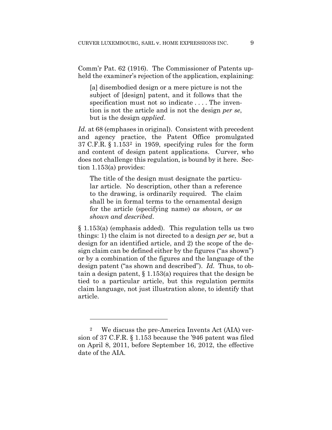Comm'r Pat. 62 (1916). The Commissioner of Patents upheld the examiner's rejection of the application, explaining:

[a] disembodied design or a mere picture is not the subject of [design] patent, and it follows that the specification must not so indicate . . . . The invention is not the article and is not the design *per se*, but is the design *applied*.

Id. at 68 (emphases in original). Consistent with precedent and agency practice, the Patent Office promulgated 37 C.F.R. § 1.1532 in 1959, specifying rules for the form and content of design patent applications. Curver, who does not challenge this regulation, is bound by it here. Section 1.153(a) provides:

The title of the design must designate the particular article. No description, other than a reference to the drawing, is ordinarily required. The claim shall be in formal terms to the ornamental design for the article (specifying name) *as shown, or as shown and described*.

§ 1.153(a) (emphasis added). This regulation tells us two things: 1) the claim is not directed to a design *per se*, but a design for an identified article, and 2) the scope of the design claim can be defined either by the figures ("as shown") or by a combination of the figures and the language of the design patent ("as shown and described"). *Id.* Thus, to obtain a design patent, § 1.153(a) requires that the design be tied to a particular article, but this regulation permits claim language, not just illustration alone, to identify that article.

<u>.</u>

<sup>2</sup> We discuss the pre-America Invents Act (AIA) version of 37 C.F.R. § 1.153 because the '946 patent was filed on April 8, 2011, before September 16, 2012, the effective date of the AIA.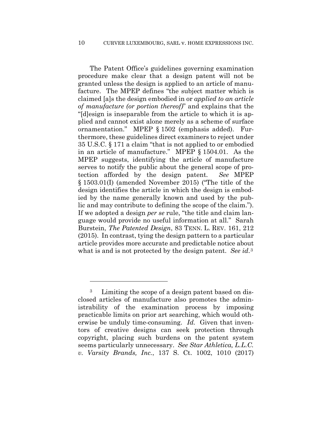The Patent Office's guidelines governing examination procedure make clear that a design patent will not be granted unless the design is applied to an article of manufacture. The MPEP defines "the subject matter which is claimed [a]s the design embodied in or *applied to an article of manufacture (or portion thereof)*" and explains that the "[d]esign is inseparable from the article to which it is applied and cannot exist alone merely as a scheme of surface ornamentation." MPEP § 1502 (emphasis added). Furthermore, these guidelines direct examiners to reject under 35 U.S.C. § 171 a claim "that is not applied to or embodied in an article of manufacture." MPEP § 1504.01. As the MPEP suggests, identifying the article of manufacture serves to notify the public about the general scope of protection afforded by the design patent. *See* MPEP § 1503.01(I) (amended November 2015) ("The title of the design identifies the article in which the design is embodied by the name generally known and used by the public and may contribute to defining the scope of the claim."). If we adopted a design *per se* rule, "the title and claim language would provide no useful information at all." Sarah Burstein, *The Patented Design*, 83 TENN. L. REV. 161, 212 (2015). In contrast, tying the design pattern to a particular article provides more accurate and predictable notice about what is and is not protected by the design patent. *See id*.3

<sup>3</sup> Limiting the scope of a design patent based on disclosed articles of manufacture also promotes the administrability of the examination process by imposing practicable limits on prior art searching, which would otherwise be unduly time-consuming. *Id.* Given that inventors of creative designs can seek protection through copyright, placing such burdens on the patent system seems particularly unnecessary. *See Star Athletica, L.L.C. v. Varsity Brands, Inc.*, 137 S. Ct. 1002, 1010 (2017)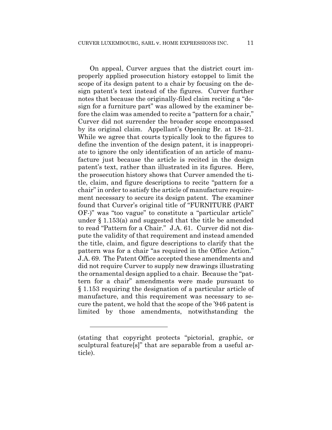On appeal, Curver argues that the district court improperly applied prosecution history estoppel to limit the scope of its design patent to a chair by focusing on the design patent's text instead of the figures. Curver further notes that because the originally-filed claim reciting a "design for a furniture part" was allowed by the examiner before the claim was amended to recite a "pattern for a chair," Curver did not surrender the broader scope encompassed by its original claim. Appellant's Opening Br. at 18–21. While we agree that courts typically look to the figures to define the invention of the design patent, it is inappropriate to ignore the only identification of an article of manufacture just because the article is recited in the design patent's text, rather than illustrated in its figures. Here, the prosecution history shows that Curver amended the title, claim, and figure descriptions to recite "pattern for a chair" in order to satisfy the article of manufacture requirement necessary to secure its design patent. The examiner found that Curver's original title of "FURNITURE (PART OF-)" was "too vague" to constitute a "particular article" under § 1.153(a) and suggested that the title be amended to read "Pattern for a Chair." J.A. 61. Curver did not dispute the validity of that requirement and instead amended the title, claim, and figure descriptions to clarify that the pattern was for a chair "as required in the Office Action." J.A. 69. The Patent Office accepted these amendments and did not require Curver to supply new drawings illustrating the ornamental design applied to a chair. Because the "pattern for a chair" amendments were made pursuant to § 1.153 requiring the designation of a particular article of manufacture, and this requirement was necessary to secure the patent, we hold that the scope of the '946 patent is limited by those amendments, notwithstanding the

<sup>(</sup>stating that copyright protects "pictorial, graphic, or sculptural feature[s]" that are separable from a useful article).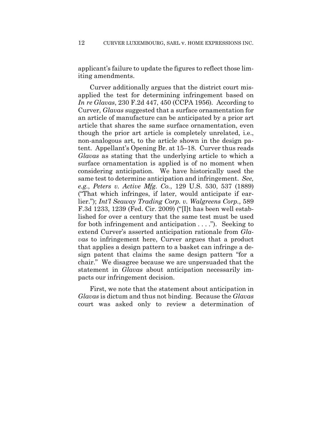applicant's failure to update the figures to reflect those limiting amendments.

Curver additionally argues that the district court misapplied the test for determining infringement based on *In re Glavas*, 230 F.2d 447, 450 (CCPA 1956)*.* According to Curver, *Glavas* suggested that a surface ornamentation for an article of manufacture can be anticipated by a prior art article that shares the same surface ornamentation, even though the prior art article is completely unrelated, i.e., non-analogous art, to the article shown in the design patent.Appellant's Opening Br. at 15–18. Curver thus reads *Glavas* as stating that the underlying article to which a surface ornamentation is applied is of no moment when considering anticipation. We have historically used the same test to determine anticipation and infringement. *See, e.g.*, *Peters v. Active Mfg. Co.*, 129 U.S. 530, 537 (1889) ("That which infringes, if later, would anticipate if earlier."); *Int'l Seaway Trading Corp. v. Walgreens Corp.*, 589 F.3d 1233, 1239 (Fed. Cir. 2009) ("[I]t has been well established for over a century that the same test must be used for both infringement and anticipation . . . ."). Seeking to extend Curver's asserted anticipation rationale from *Glavas* to infringement here, Curver argues that a product that applies a design pattern to a basket can infringe a design patent that claims the same design pattern "for a chair." We disagree because we are unpersuaded that the statement in *Glavas* about anticipation necessarily impacts our infringement decision.

First, we note that the statement about anticipation in *Glavas* is dictum and thus not binding. Because the *Glavas*  court was asked only to review a determination of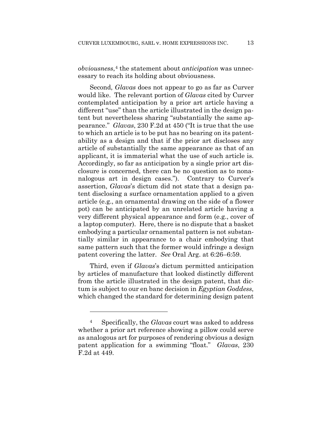*obviousness*,<sup>4</sup> the statement about *anticipation* was unnecessary to reach its holding about obviousness.

Second, *Glavas* does not appear to go as far as Curver would like. The relevant portion of *Glavas* cited by Curver contemplated anticipation by a prior art article having a different "use" than the article illustrated in the design patent but nevertheless sharing "substantially the same appearance." *Glavas*, 230 F.2d at 450 ("It is true that the use to which an article is to be put has no bearing on its patentability as a design and that if the prior art discloses any article of substantially the same appearance as that of an applicant, it is immaterial what the use of such article is. Accordingly, so far as anticipation by a single prior art disclosure is concerned, there can be no question as to nonanalogous art in design cases."). Contrary to Curver's assertion, *Glavas*'s dictum did not state that a design patent disclosing a surface ornamentation applied to a given article (e.g., an ornamental drawing on the side of a flower pot) can be anticipated by an unrelated article having a very different physical appearance and form (e.g., cover of a laptop computer). Here, there is no dispute that a basket embodying a particular ornamental pattern is not substantially similar in appearance to a chair embodying that same pattern such that the former would infringe a design patent covering the latter. *See* Oral Arg. at 6:26–6:59.

Third, even if *Glavas*'s dictum permitted anticipation by articles of manufacture that looked distinctly different from the article illustrated in the design patent, that dictum is subject to our en banc decision in *Egyptian Goddess*, which changed the standard for determining design patent

<sup>4</sup> Specifically, the *Glavas* court was asked to address whether a prior art reference showing a pillow could serve as analogous art for purposes of rendering obvious a design patent application for a swimming "float." *Glavas*, 230 F.2d at 449.